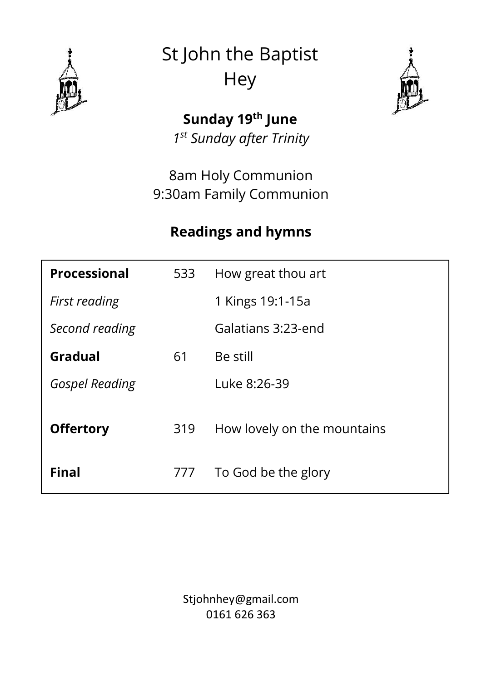

St John the Baptist **Hey** 



**Sunday 19th June** *1 st Sunday after Trinity*

8am Holy Communion 9:30am Family Communion

## **Readings and hymns**

| <b>Processional</b>   | 533 | How great thou art          |
|-----------------------|-----|-----------------------------|
| First reading         |     | 1 Kings 19:1-15a            |
| Second reading        |     | Galatians 3:23-end          |
| Gradual               | 61  | Be still                    |
| <b>Gospel Reading</b> |     | Luke 8:26-39                |
| <b>Offertory</b>      | 319 | How lovely on the mountains |
| <b>Final</b>          | 777 | To God be the glory         |

Stjohnhey@gmail.com 0161 626 363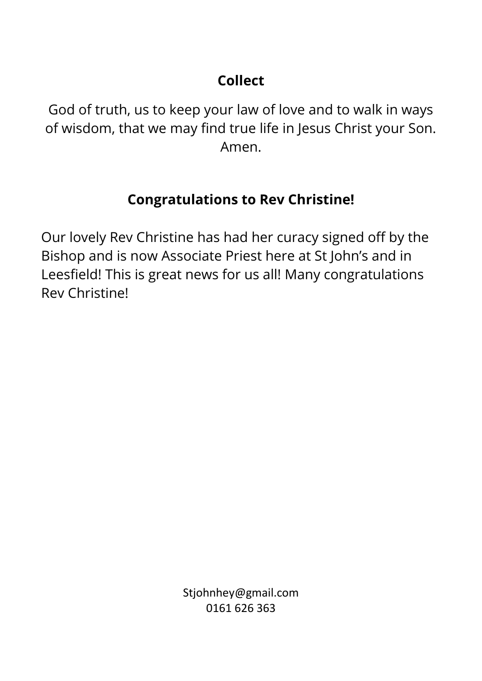# **Collect**

God of truth, us to keep your law of love and to walk in ways of wisdom, that we may find true life in Jesus Christ your Son. Amen.

#### **Congratulations to Rev Christine!**

Our lovely Rev Christine has had her curacy signed off by the Bishop and is now Associate Priest here at St John's and in Leesfield! This is great news for us all! Many congratulations Rev Christine!

> Stjohnhey@gmail.com 0161 626 363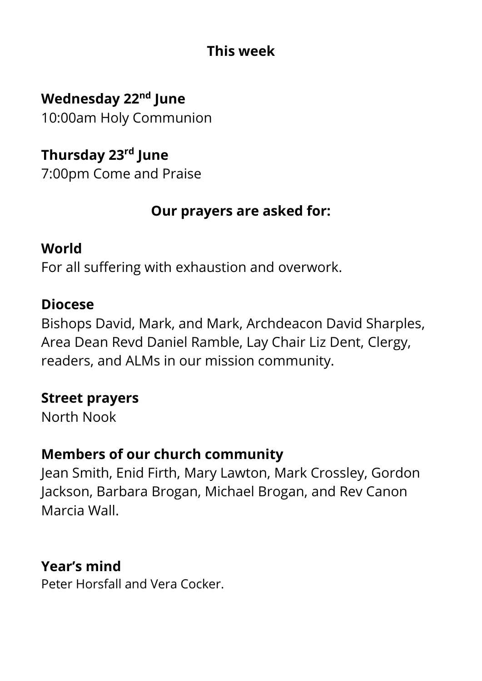## **This week**

**Wednesday 22nd June** 10:00am Holy Communion

**Thursday 23rd June** 7:00pm Come and Praise

## **Our prayers are asked for:**

#### **World**

For all suffering with exhaustion and overwork.

### **Diocese**

Bishops David, Mark, and Mark, Archdeacon David Sharples, Area Dean Revd Daniel Ramble, Lay Chair Liz Dent, Clergy, readers, and ALMs in our mission community.

#### **Street prayers**

North Nook

# **Members of our church community**

Jean Smith, Enid Firth, Mary Lawton, Mark Crossley, Gordon Jackson, Barbara Brogan, Michael Brogan, and Rev Canon Marcia Wall.

# **Year's mind**

Peter Horsfall and Vera Cocker.